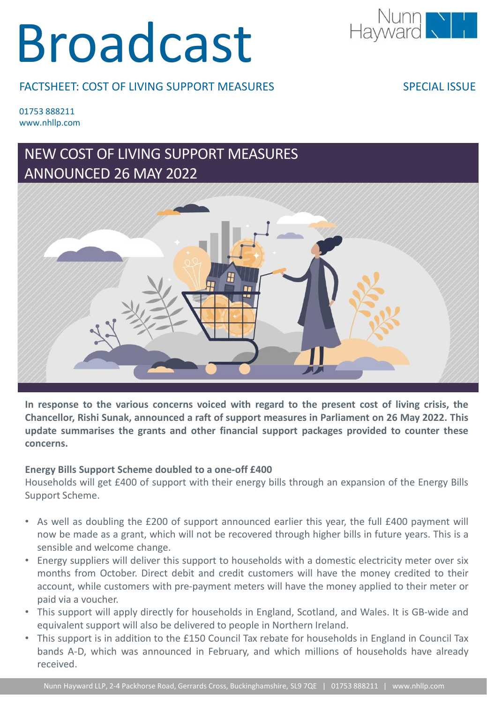# Broadcast



#### FACTSHEET: COST OF LIVING SUPPORT MEASURES

SPECIAL ISSUE

01753 888211 www.nhllp.com

### NEW COST OF LIVING SUPPORT MEASURES ANNOUNCED 26 MAY 2022



**In response to the various concerns voiced with regard to the present cost of living crisis, the Chancellor, Rishi Sunak, announced a raft of support measures in Parliament on 26 May 2022. This update summarises the grants and other financial support packages provided to counter these concerns.**

#### **Energy Bills Support Scheme doubled to a one-off £400**

Households will get £400 of support with their energy bills through an expansion of the Energy Bills Support Scheme.

- As well as doubling the £200 of support announced earlier this year, the full £400 payment will now be made as a grant, which will not be recovered through higher bills in future years. This is a sensible and welcome change.
- Energy suppliers will deliver this support to households with a domestic electricity meter over six months from October. Direct debit and credit customers will have the money credited to their account, while customers with pre-payment meters will have the money applied to their meter or paid via a voucher.
- This support will apply directly for households in England, Scotland, and Wales. It is GB-wide and equivalent support will also be delivered to people in Northern Ireland.
- This support is in addition to the £150 Council Tax rebate for households in England in Council Tax bands A-D, which was announced in February, and which millions of households have already received.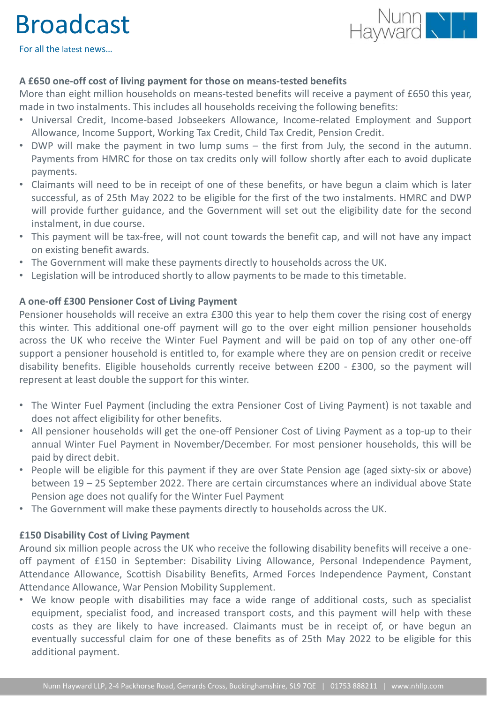## Broadcast



For all the latest news…

#### **A £650 one-off cost of living payment for those on means-tested benefits**

More than eight million households on means-tested benefits will receive a payment of £650 this year, made in two instalments. This includes all households receiving the following benefits:

- Universal Credit, Income-based Jobseekers Allowance, Income-related Employment and Support Allowance, Income Support, Working Tax Credit, Child Tax Credit, Pension Credit.
- DWP will make the payment in two lump sums the first from July, the second in the autumn. Payments from HMRC for those on tax credits only will follow shortly after each to avoid duplicate payments.
- Claimants will need to be in receipt of one of these benefits, or have begun a claim which is later successful, as of 25th May 2022 to be eligible for the first of the two instalments. HMRC and DWP will provide further guidance, and the Government will set out the eligibility date for the second instalment, in due course.
- This payment will be tax-free, will not count towards the benefit cap, and will not have any impact on existing benefit awards.
- The Government will make these payments directly to households across the UK.
- Legislation will be introduced shortly to allow payments to be made to this timetable.

#### **A one-off £300 Pensioner Cost of Living Payment**

Pensioner households will receive an extra £300 this year to help them cover the rising cost of energy this winter. This additional one-off payment will go to the over eight million pensioner households across the UK who receive the Winter Fuel Payment and will be paid on top of any other one-off support a pensioner household is entitled to, for example where they are on pension credit or receive disability benefits. Eligible households currently receive between £200 - £300, so the payment will represent at least double the support for this winter.

- The Winter Fuel Payment (including the extra Pensioner Cost of Living Payment) is not taxable and does not affect eligibility for other benefits.
- All pensioner households will get the one-off Pensioner Cost of Living Payment as a top-up to their annual Winter Fuel Payment in November/December. For most pensioner households, this will be paid by direct debit.
- People will be eligible for this payment if they are over State Pension age (aged sixty-six or above) between 19 – 25 September 2022. There are certain circumstances where an individual above State Pension age does not qualify for the Winter Fuel Payment
- The Government will make these payments directly to households across the UK.

#### **£150 Disability Cost of Living Payment**

Around six million people across the UK who receive the following disability benefits will receive a oneoff payment of £150 in September: Disability Living Allowance, Personal Independence Payment, Attendance Allowance, Scottish Disability Benefits, Armed Forces Independence Payment, Constant Attendance Allowance, War Pension Mobility Supplement.

• We know people with disabilities may face a wide range of additional costs, such as specialist equipment, specialist food, and increased transport costs, and this payment will help with these costs as they are likely to have increased. Claimants must be in receipt of, or have begun an eventually successful claim for one of these benefits as of 25th May 2022 to be eligible for this additional payment.